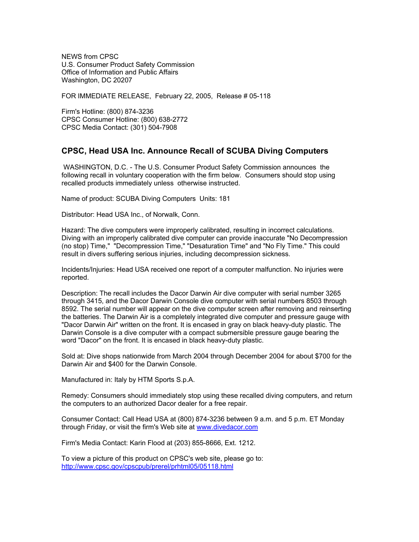NEWS from CPSC U.S. Consumer Product Safety Commission Office of Information and Public Affairs Washington, DC 20207

FOR IMMEDIATE RELEASE, February 22, 2005, Release # 05-118

Firm's Hotline: (800) 874-3236 CPSC Consumer Hotline: (800) 638-2772 CPSC Media Contact: (301) 504-7908

## **CPSC, Head USA Inc. Announce Recall of SCUBA Diving Computers**

 WASHINGTON, D.C. - The U.S. Consumer Product Safety Commission announces the following recall in voluntary cooperation with the firm below. Consumers should stop using recalled products immediately unless otherwise instructed.

Name of product: SCUBA Diving Computers Units: 181

Distributor: Head USA Inc., of Norwalk, Conn.

Hazard: The dive computers were improperly calibrated, resulting in incorrect calculations. Diving with an improperly calibrated dive computer can provide inaccurate "No Decompression (no stop) Time," "Decompression Time," "Desaturation Time" and "No Fly Time." This could result in divers suffering serious injuries, including decompression sickness.

Incidents/Injuries: Head USA received one report of a computer malfunction. No injuries were reported.

Description: The recall includes the Dacor Darwin Air dive computer with serial number 3265 through 3415, and the Dacor Darwin Console dive computer with serial numbers 8503 through 8592. The serial number will appear on the dive computer screen after removing and reinserting the batteries. The Darwin Air is a completely integrated dive computer and pressure gauge with "Dacor Darwin Air" written on the front. It is encased in gray on black heavy-duty plastic. The Darwin Console is a dive computer with a compact submersible pressure gauge bearing the word "Dacor" on the front. It is encased in black heavy-duty plastic.

Sold at: Dive shops nationwide from March 2004 through December 2004 for about \$700 for the Darwin Air and \$400 for the Darwin Console.

Manufactured in: Italy by HTM Sports S.p.A.

Remedy: Consumers should immediately stop using these recalled diving computers, and return the computers to an authorized Dacor dealer for a free repair.

Consumer Contact: Call Head USA at (800) 874-3236 between 9 a.m. and 5 p.m. ET Monday through Friday, or visit the firm's Web site at [www.divedacor.com](http://www.divedacor.com/)

Firm's Media Contact: Karin Flood at (203) 855-8666, Ext. 1212.

To view a picture of this product on CPSC's web site, please go to: <http://www.cpsc.gov/cpscpub/prerel/prhtml05/05118.html>